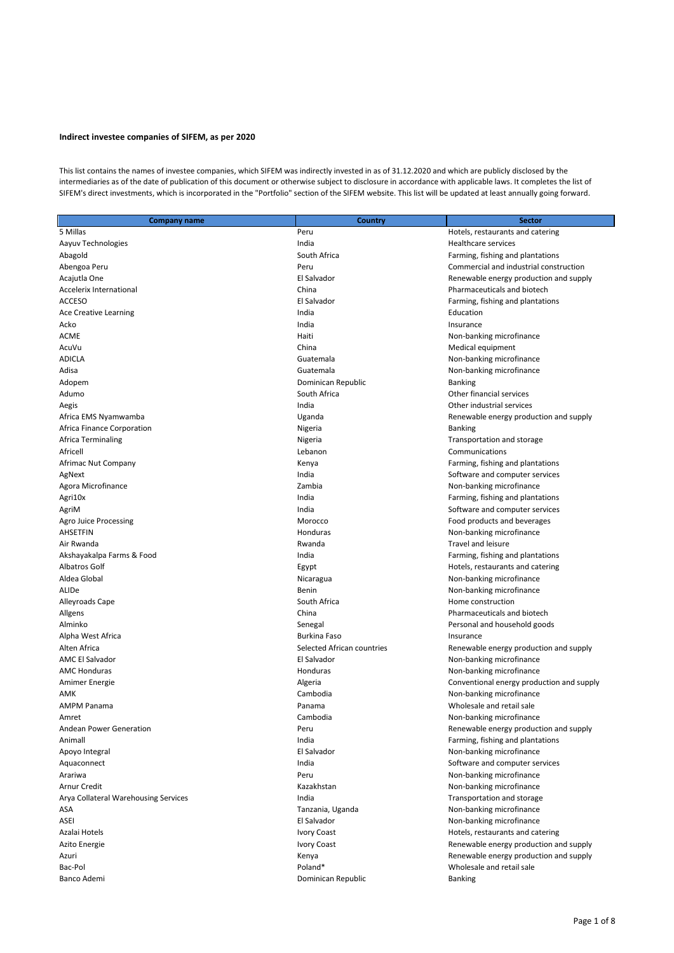## **Indirect investee companies of SIFEM, as per 2020**

This list contains the names of investee companies, which SIFEM was indirectly invested in as of 31.12.2020 and which are publicly disclosed by the intermediaries as of the date of publication of this document or otherwise subject to disclosure in accordance with applicable laws. It completes the list of SIFEM's direct investments, which is incorporated in the "Portfolio" section of the SIFEM website. This list will be updated at least annually going forward.

| <b>Company name</b>                  | Country                    | <b>Sector</b>                             |
|--------------------------------------|----------------------------|-------------------------------------------|
| 5 Millas                             | Peru                       | Hotels, restaurants and catering          |
| Aayuv Technologies                   | India                      | Healthcare services                       |
| Abagold                              | South Africa               | Farming, fishing and plantations          |
| Abengoa Peru                         | Peru                       | Commercial and industrial construction    |
| Acajutla One                         | El Salvador                | Renewable energy production and supply    |
| Accelerix International              | China                      | Pharmaceuticals and biotech               |
| <b>ACCESO</b>                        | El Salvador                | Farming, fishing and plantations          |
| <b>Ace Creative Learning</b>         | India                      | Education                                 |
| Acko                                 | India                      | Insurance                                 |
| ACME                                 | Haiti                      | Non-banking microfinance                  |
| AcuVu                                | China                      | Medical equipment                         |
| ADICLA                               | Guatemala                  | Non-banking microfinance                  |
| Adisa                                | Guatemala                  | Non-banking microfinance                  |
| Adopem                               | Dominican Republic         | <b>Banking</b>                            |
| Adumo                                | South Africa               | Other financial services                  |
| Aegis                                | India                      | Other industrial services                 |
| Africa EMS Nyamwamba                 | Uganda                     | Renewable energy production and supply    |
| Africa Finance Corporation           | Nigeria                    | <b>Banking</b>                            |
| Africa Terminaling                   | Nigeria                    | Transportation and storage                |
| Africell                             | Lebanon                    | Communications                            |
| Afrimac Nut Company                  | Kenya                      | Farming, fishing and plantations          |
| AgNext                               | India                      | Software and computer services            |
| Agora Microfinance                   | Zambia                     | Non-banking microfinance                  |
| Agri10x                              | India                      | Farming, fishing and plantations          |
| AgriM                                | India                      | Software and computer services            |
| Agro Juice Processing                | Morocco                    | Food products and beverages               |
| AHSETFIN                             | Honduras                   | Non-banking microfinance                  |
| Air Rwanda                           | Rwanda                     | <b>Travel and leisure</b>                 |
| Akshayakalpa Farms & Food            | India                      | Farming, fishing and plantations          |
| Albatros Golf                        | Egypt                      | Hotels, restaurants and catering          |
| Aldea Global                         | Nicaragua                  | Non-banking microfinance                  |
| ALIDe                                | Benin                      | Non-banking microfinance                  |
| Alleyroads Cape                      | South Africa               | Home construction                         |
| Allgens                              | China                      | Pharmaceuticals and biotech               |
| Alminko                              | Senegal                    | Personal and household goods              |
| Alpha West Africa                    | <b>Burkina Faso</b>        | Insurance                                 |
| Alten Africa                         | Selected African countries | Renewable energy production and supply    |
| AMC El Salvador                      | El Salvador                | Non-banking microfinance                  |
| <b>AMC Honduras</b>                  | Honduras                   | Non-banking microfinance                  |
| Amimer Energie                       | Algeria                    | Conventional energy production and supply |
| AMK                                  | Cambodia                   | Non-banking microfinance                  |
| <b>AMPM Panama</b>                   | Panama                     | Wholesale and retail sale                 |
| Amret                                | Cambodia                   | Non-banking microfinance                  |
| <b>Andean Power Generation</b>       | Peru                       | Renewable energy production and supply    |
| Animall                              | India                      | Farming, fishing and plantations          |
| Apoyo Integral                       | El Salvador                | Non-banking microfinance                  |
| Aquaconnect                          | India                      | Software and computer services            |
| Arariwa                              | Peru                       | Non-banking microfinance                  |
| Arnur Credit                         | Kazakhstan                 | Non-banking microfinance                  |
| Arya Collateral Warehousing Services | India                      | Transportation and storage                |
| ASA                                  | Tanzania, Uganda           | Non-banking microfinance                  |
| ASEI                                 | El Salvador                | Non-banking microfinance                  |
| Azalai Hotels                        | Ivory Coast                | Hotels, restaurants and catering          |
| Azito Energie                        | <b>Ivory Coast</b>         | Renewable energy production and supply    |
| Azuri                                | Kenya                      | Renewable energy production and supply    |
| Bac-Pol                              | Poland*                    | Wholesale and retail sale                 |

Banco Ademi **Banco Ademi Banking Banco Ademi Banking Banking Banking Banking**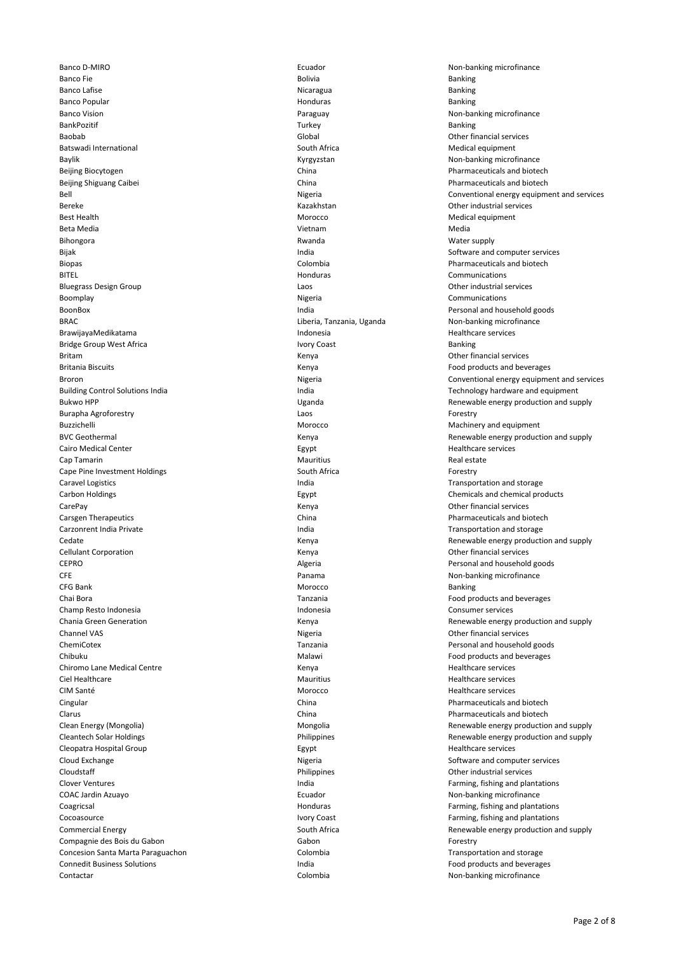Banco Fie and Bolivia Bolivia Bolivia Bolivia and Bolivia Banking Banking Banking Banking Banking Banking Banking Banco Lafise **Nicaragua Banco Lafise** Banking Banking Banking Banking Banking Banking Banking Banking Banking Banking Banco Popular **Banking Structure and Structure and Structure** Honduras **Banking Banking** Banco Vision **Paraguay** Paraguay **Paraguay Paraguay** Non-banking microfinance BankPozitif Turkey Banking Baobab Global Other financial services Batswadi International **South Africa** South Africa **Medical equipment** Baylik **Baylik** Baylik Kyrgyzstan Non-banking microfinance Beijing Biocytogen China Pharmaceuticals and biotech Beijing Shiguang Caibei **China** China **China** China **Pharmaceuticals and biotech** Pharmaceuticals and biotech Bereke Kazakhstan Other industrial services Best Health Morocco Medical equipment Beta Media Vietnam Media Bihongora **Mater Supply and Struck and Struck** Revenue Rwanda Mater Supply and Mater supply Bijak India Software and computer services Biopas Colombia Pharmaceuticals and biotech BITEL **Example 20 International Communications** Communications and Communications of the BITEL Bluegrass Design Group Laos Other industrial services Boomplay **Boomplay Boomplay Communications Communications Communications Communications** BoonBox India Personal and household goods BRAC Liberia, Tanzania, Uganda Non-banking microfinance BrawijayaMedikatama **Indonesia** Indonesia **Indonesia** Healthcare services Bridge Group West Africa **Ivory Coast** Ivory Coast **Banking** Britam **Exercise Contract Contract Contract Contract Contract Contract Contract Contract Contract Contract Contract Contract Contract Contract Contract Contract Contract Contract Contract Contract Contract Contract Contrac** Britania Biscuits **Exercise State and Serverages** Kenya **Food Products and beverages**<br>Broron Formational energy equipments and the Serveral Properties and the Serveral Properties of the Serveral American Serveral Propertie Burapha Agroforestry Laos Forestry Buzzichelli Morocco and Equipment Morocco and Equipment Machinery and equipment Cairo Medical Center Egypt Healthcare services Cap Tamarin **Mauritius Real estate Real estate** Annual Mauritius **Real estate Real estate** Cape Pine Investment Holdings **South Africa** South Africa **Forestry** Caravel Logistics **India** India Transportation and storage caravel Logistics **India** India India India India India Carbon Holdings Egypt Chemicals and chemical products CarePay Kenya Other financial services Carsgen Therapeutics **China** China **China China** Pharmaceuticals and biotech Carzonrent India Private **India Transportation and storage** India India India Transportation and storage Cellulant Corporation **Community** Cellulant Corporation Community Cellulant Corporation Community Cellulant Corporation CEPRO CEPRO CEPRO CEPRO Algeria Algeria CEPRO Personal and household goods<br>CFE CEPRO CEPS CERT Personal and household goods and household goods certain personal and household goods cert CFE CETTE CONTROLLED TO A CONTROLLED PARAMATE PARAMATE PARAMATE PARAMATE PARAMATE PARAMATE PARAMATE PARAMATE PARAMATE PARAMATE PARAMATE PARAMATE PARAMATE PARAMATE PARAMATE PARAMATE PARAMATE PARAMATE PARAMATE PARAMATE PARAM CFG Bank Banking and the control of the control of the Morocco of the control of the Banking Banking and the control of the control of the control of the control of the control of the control of the control of the control Chai Bora Tanzania Food products and beverages Champ Resto Indonesia Indonesia Consumer services Channel VAS **Nigeria** Channel VAS Nigeria Channel VAS Nigeria Channel VAS Nigeria Channel VAS Nigeria Channel VAS ChemiCotex Tanzania Personal and household goods Chibuku Malawi Food products and beverages Chiromo Lane Medical Centre Kenya Healthcare services Ciel Healthcare **Mauritius** Mauritius **Mauritius** Healthcare services CIM Santé Morocco Healthcare services Cingular China Pharmaceuticals and biotech entering the China Pharmaceuticals and biotech entering the China Pharmaceuticals and biotech entering the China Pharmaceuticals and biotech entering the China Pharmaceuticals and Clarus China Pharmaceuticals and biotech Cleopatra Hospital Group **Egypt** Egypt Healthcare services **Egypt** Healthcare services Cloud Exchange Nigeria Software and computer services Cloudstaff **Cloudstaff Philippines Philippines Other industrial services Other industrial services** Clover Ventures **India** Farming, fishing and plantations and plantations in the lower Ventures of the state of the state of the lower Ventures of the state of the state of the state of the state of the state of the state o COAC Jardin Azuayo **Ecuador** Ecuador **Non-banking microfinance Non-banking microfinance** Coagricsal **Coagricsal** Coagricsal Coagricsal Coagricsal Coagricsal Coagricsal Coagricsal Coagricsal Coagricsal Co Cocoasource **Ivory Coast** Farming, fishing and plantations **Ivory Coast** Farming, fishing and plantations Compagnie des Bois du Gabon Gabon Forestry Concesion Santa Marta Paraguachon Colombia Transportation and storage Connedit Business Solutions and Solutions and Solutions India Food products and beverages and beverages and beverages

Banco D-MIRO **Ecuador** Ecuador **Non-banking microfinance Non-banking microfinance** Bell Nigeria Conventional energy equipment and services Broron Nigeria Conventional energy equipment and services Building Control Solutions India India Technology hardware and equipment Bukwo HPP **Example 20 Telecom** Uganda Company and Buchon Renewable energy production and supply BVC Geothermal Kenya Renewable energy production and supply Cedate **Cedate** Cedate **Cedate** Cedate Cedate Cedate Cedate Cedate Cedate Cedate Cedate Cedate Cedate Cedate Cedate Cedate Cedate Cedate Cedate Cedate Cedate Cedate Cedate Cedate Cedate Cedate Cedate Cedate Cedate Cedate C Chania Green Generation **Chania Green Generation** Chania Green Generation and supply Mongolia **Energy (Mongolia**) Mongolia Cleantech Solar Holdings Philippines Renewable energy production and supply Commercial Energy Theorem 2003 Couth Africa South Africa Renewable energy production and supply Contactar **Colombia** Colombia **Colombia** Colombia **Non-banking microfinance**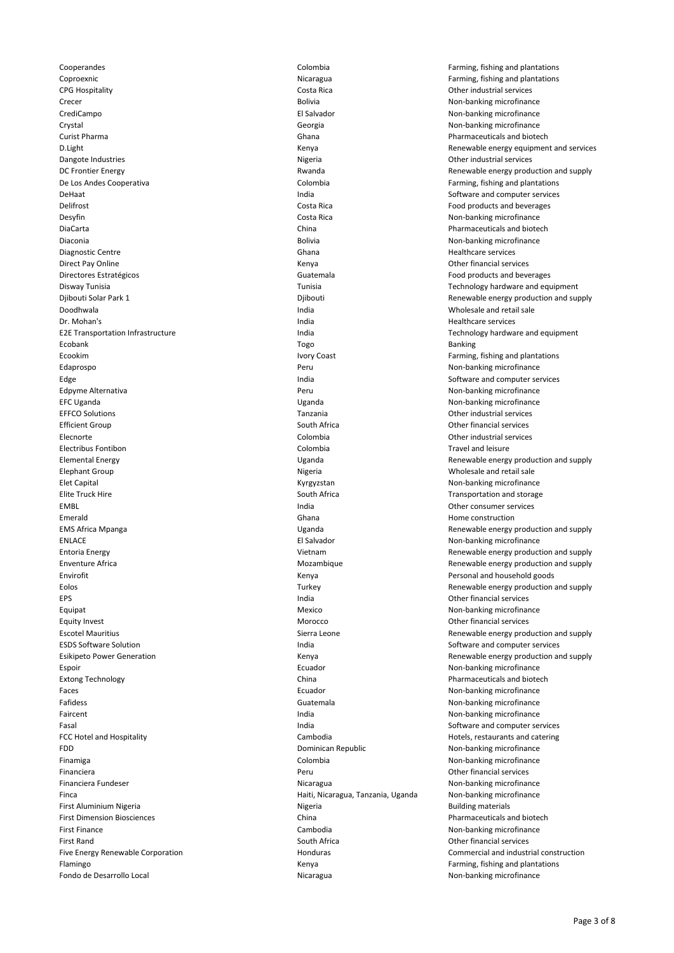Coproexnic **Community** Coproexnic Coproexnic Coproexnic Coproexnic Coproexnic Coproexnic Coproexnic Coproexnic Coproexnic Coproexnic Coproexnic Coproexnic Coproexnic Coproexnic Coproexnic Coproexnic Coproexnic Coproexnic C CPG Hospitality Costa Rica Other industrial services Crecer **Crecer Creaming microfinance Bolivia** Bolivia **Non-banking microfinance** CrediCampo El Salvador Non-banking microfinance Crystal Charles Controller Charles Controller Georgia Charles Controller Charles Non-banking microfinance Curist Pharma Ghana Pharmaceuticals and biotech Dangote Industries **Nigeria** Nigeria **Nigeria** Other industrial services De Los Andes Cooperativa Colombia Farming, fishing and plantations DeHaat India Software and computer services Delifrost Costa Rica Food products and beverages Desyfin Samuel Costa Rica Costa Rica Costa Rica Costa Rica Costa Costa Rica Costa Costa Rica Costa Costa Rica Costa Rica Costa Rica Costa Rica Costa Rica Costa Rica Costa Rica Costa Rica Costa Rica Costa Rica Costa Rica Co Diaconia Bolivia Non-banking microfinance Diagnostic Centre Ghana Healthcare services Direct Pay Online **Contains a Container Contains a Container Contains a Container Contains a Contains a Contains a Contains a Contains a Contains a Contains a Contains a Contains a Contains a Contains a Contains a Contains** Directores Estratégicos Guatemala Food products and beverages Doodhwala India Wholesale and retail sale Dr. Mohan's India Healthcare services Ecobank Togo Banking Ecookim **IVO COAST FARM INCOCOL** ECOOKim IVOR COAST **Farming, fishing and plantations** Edaprospo Peru Non-banking microfinance Edge India Software and computer services Edpyme Alternativa **Peru** Non-banking microfinance **Peru** Non-banking microfinance EFC Uganda Uganda Non-banking microfinance EFFCO Solutions Tanzania Other industrial services Efficient Group **South Africa** South Africa **South Africa** Other financial services Elecnorte Colombia Other industrial services Electribus Fontibon Colombia Travel and leisure Elephant Group Nigeria Wholesale and retail sale Elet Capital **Election** Capital Communication Communication Communication Communication Communication Communication Communication Communication Communication Communication Communication Communication Communication Communic Elite Truck Hire South Africa **South Africa** Transportation and storage in the South Africa Transportation and storage EMBL India Other consumer services Emerald **Emerald** Emerald Emery and the Construction of the Ghana Home construction and the Construction of the Construction ENLACE El Salvador Non-banking microfinance Envirofit **Envirofit** Environment Community Community Community Community Community Community Personal and household goods EPS India Other financial services Equipat **Mexico** Non-banking microfinance **Mexico** Non-banking microfinance Equity Invest **Equipment** Controller Morocco **Controller Controller Morocco** Controller Controller Controller Controller Controller Controller Controller Controller Controller Controller Controller Controller Controller Co ESDS Software Solution **India** India **India** Software and computer services Espoir **Exponent Community** Ecuador **Ecuador** Ecuador **Non-banking microfinance** Extong Technology **China China China Pharmaceuticals and biotech Pharmaceuticals and biotech** Faces **Example 20** Faces Ecuador **Ecuador** Ecuador **Non-banking microfinance** Fafidess **Guatemala** Guatemala **Guatemala** Non-banking microfinance Faircent Execution Contract Contract Contract Contract Contract Contract Contract Contract Contract Contract Contract Contract Contract Contract Contract Contract Contract Contract Contract Contract Contract Contract Contr Fasal India Software and computer services FCC Hotel and Hospitality **Cambodia** Cambodia **Cambodia** Hotels, restaurants and catering FDD **EDD EDD EDD EDD EDD EDD EDD EDD EDD EDD EDD EDD EDD EDD EDD EDD EDD EDD EDD EDD EDD EDD EDD EDD EDD EDD EDD EDD EDD EDD EDD EDD EDD EDD EDD EDD E** Finamiga Colombia Non-banking microfinance Financiera Peru Other financial services Financiera Fundeser **Nicaragua** Nicaragua Nicaragua Non-banking microfinance Finca Haiti, Nicaragua, Tanzania, Uganda Non-banking microfinance First Aluminium Nigeria **Nigeria** Nigeria Nigeria **Nigeria Building materials Building materials** First Dimension Biosciences China Pharmaceuticals and biotech First Finance **Cambodia** Cambodia **Cambodia** Cambodia Non-banking microfinance First Rand South Africa Other financial services Flamingo **Example 2** Family Renya Kenya **Kenya Kenya Kenya Kenya Kenya Kenya Kenya** Farming, fishing and plantations Fondo de Desarrollo Local **Nicaragua** Nicaragua Non-banking microfinance

Cooperandes Colombia Farming, fishing and plantations D.Light Kenya Renewable energy equipment and services DC Frontier Energy **Renewable energy production and supply** Rwanda Renewable energy production and supply **China China Pharmaceuticals and biotech** Disway Tunisia Tunisia Technology hardware and equipment Djibouti Solar Park 1 Djibouti Renewable energy production and supply E2E Transportation Infrastructure **India** India Technology hardware and equipment Elemental Energy Uganda Renewable energy production and supply EMS Africa Mpanga Uganda Renewable energy production and supply Entoria Energy **Entoria Energy Construction and supply** Vietnam Vietnam Renewable energy production and supply Enventure Africa **Enventure Africa** Mozambique Mozambique Renewable energy production and supply Eolos Turkey Renewable energy production and supply Escotel Mauritius Sierra Leone Renewable energy production and supply Esikipeto Power Generation Kenya Renewable energy production and supply Five Energy Renewable Corporation Theorem Commercial and industrial construction Five Energy Renewable Corporation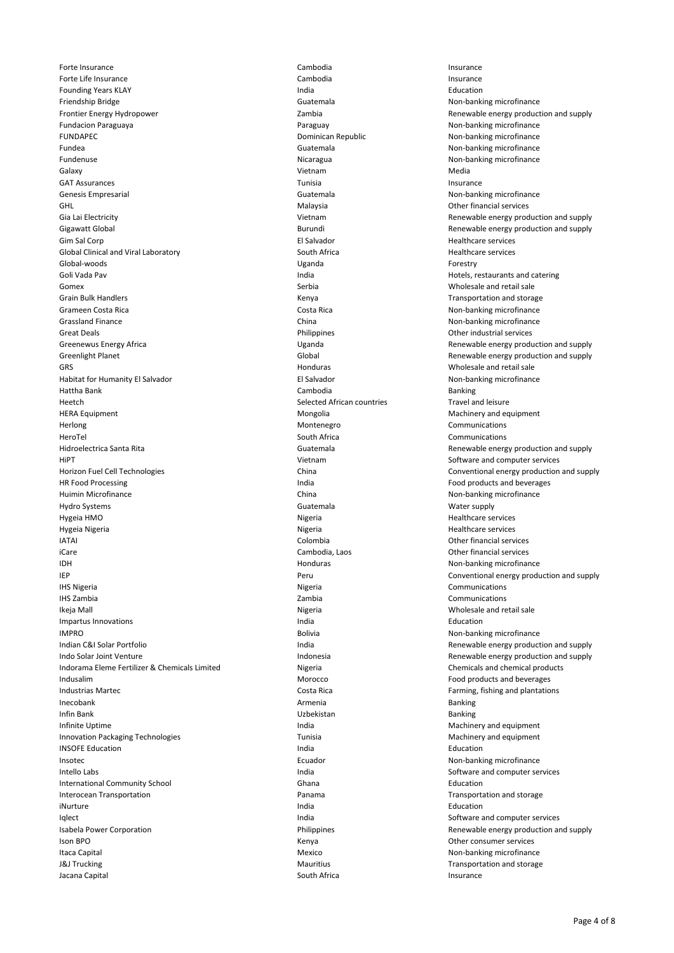Forte Insurance **Cambodia Insurance Cambodia Insurance Insurance Cambodia Insurance** Forte Life Insurance **Cambodia Insurance** Cambodia **Insurance** Insurance Founding Years KLAY **India** India **India India Education** Education Friendship Bridge **Guatemala** Guatemala **Guatemala** Non-banking microfinance Frontier Energy Hydropower Zambia Renewable energy production and supply Fundacion Paraguaya Paraguay Non-banking microfinance FUNDAPEC **EXECUTE:** Dominican Republic Non-banking microfinance Fundea **Guatemala** Guatemala **Guatemala** Non-banking microfinance Fundenuse Nicaragua Non-banking microfinance Galaxy Vietnam Media GAT Assurances and the contract of the contract of the contract of the contract of the contract of the contract of the contract of the contract of the contract of the contract of the contract of the contract of the contrac Genesis Empresarial **Guatemala** Guatemala **Guatemala** Non-banking microfinance GHL Malaysia Other financial services Gia Lai Electricity<br>Gigawatt Global Communication and supply<br>Gigawatt Global Communication and supply communication and supply Gim Sal Corp **El Salvador El Salvador El Salvador Healthcare services** Global Clinical and Viral Laboratory **South Africa** South Africa **Healthcare services** Healthcare services Global-woods Uganda Forestry Goli Vada Pav **India** Hotels, restaurants and catering india **Hotels, restaurants and catering** Gomex **Serbia** Serbia Serbia Serbia Wholesale and retail sale Grain Bulk Handlers **Communist Communist Communist Communist Communist Communist Communist Communist Communist Communist Communist Communist Communist Communist Communist Communist Communist Communist Communist Communist C** Grameen Costa Rica Costa Rica Non-banking microfinance Grassland Finance **China** China China China Non-banking microfinance Great Deals **Contains Container Container Container Container Container Container Container Container Container Container Container Container Container Container Container Container Container Container Container Container** Greenewus Energy Africa **Contains the Contract Contract Contract Contract Contract Contract Contract Contract Contract Contract Contract Contract Contract Contract Contract Contract Contract Contract Contract Contract Cont** Greenlight Planet Greenlight Planet Global Global Greenlight Planet Greenlight Planet and supply GRS GRS Honduras Honduras Honduras All the University of the University of the Monduras CHS and retail sale<br>GRS Honduras Honduras Honduras Honduras Honduras Honduras Honduras Honduras Hondurance Hondurance Hondurance H Habitat for Humanity El Salvador Hattha Bank Cambodia Banking Heetch Selected African countries Travel and leisure HERA Equipment Mongolia Machinery and equipment Herlong Montenegro Communications HeroTel South Africa Communications Hidroelectrica Santa Rita Guatemala Renewable energy production and supply HiPT **HiPT** Software and computer services and computer services of the Software and computer services and computer services Horizon Fuel Cell Technologies China Conventional energy production and supply HR Food Processing The Control of the Control of the India Food products and beverages and beverages and beverages and beverages and beverages and beverages and beverages and the India Control of the India Control of the I Huimin Microfinance **Non-banking microfinance** China China China Non-banking microfinance Hydro Systems Guatemala Guatemala Guatemala Characteristic Mater supply Hygeia HMO Nigeria Healthcare services Hygeia Nigeria Nigeria Healthcare services IATAI Colombia Other financial services iCare Cambodia, Laos Other financial services IDH Honduras Non-banking microfinance IEP Peru Conventional energy production and supply **IHS Nigeria** Communications Communications Communications Communications Communications IHS Zambia Zambia Communications Ikeja Mall Nigeria Nigeria Nigeria Nigeria Nigeria Nigeria Nigeria Nigeria Nigeria Nigeria Nigeria Nigeria Nigeria Nigeria Nigeria Nigeria Nigeria Nigeria Nigeria Nigeria Nigeria Nigeria Nigeria Nigeria Nigeria Nigeria Nig Impartus Innovations **India** Education **India India Education Education** IMPRO **IMPRO Bolivia** Bolivia **Bolivia** Bolivia **Non-banking microfinance** Indian C&I Solar Portfolio India Renewable energy production and supply Indo Solar Joint Venture **Indonesia** Indonesia **Indonesia** Renewable energy production and supply Indorama Eleme Fertilizer & Chemicals Limited Nigeria Chemicals and chemical products Indusalim **Indusalim** Communication Communication Morocco **Food products and beverages** and beverages Industrias Martec **Costa Rica Costa Rica Costa Rica** Farming, fishing and plantations Inecobank **Armenia** Banking Banking Banking Banking Banking Banking Banking Banking Banking Banking Banking Banking Infin Bank Uzbekistan Banking Infinite Uptime **India** Machinery and equipment **India** Machinery and equipment Innovation Packaging Technologies **Transform Communisia** Tunisia Machinery and equipment INSOFE Education **India** Education **India India** Education **India** Education Insotec **Ecuador** Ecuador **Non-banking microfinance Non-banking microfinance** Intello Labs India Software and computer services International Community School Ghana Education Interocean Transportation **Network** Panama **Panama** Panama Transportation and storage iNurture **India** Education **India** Education **India** Education **India** Education Iqlect India Software and computer services Isabela Power Corporation Philippines Renewable energy production and supply Ison BPO **Solution Consumer Services** Consumer Services Consumer Services Consumer services Consumer services Itaca Capital **International Mexico** Non-banking microfinance J&J Trucking Trucking Trucking Mauritius Mauritius All the Transportation and storage of the Mauritius All the Mauritius All the Mauritius All the Mauritius All the Mauritius All the Mauritius All the Mauritius All the Mau Jacana Capital South Africa Insurance

Burundi Burundi Burundi Burundi Burundi Burundi Renewable energy production and supply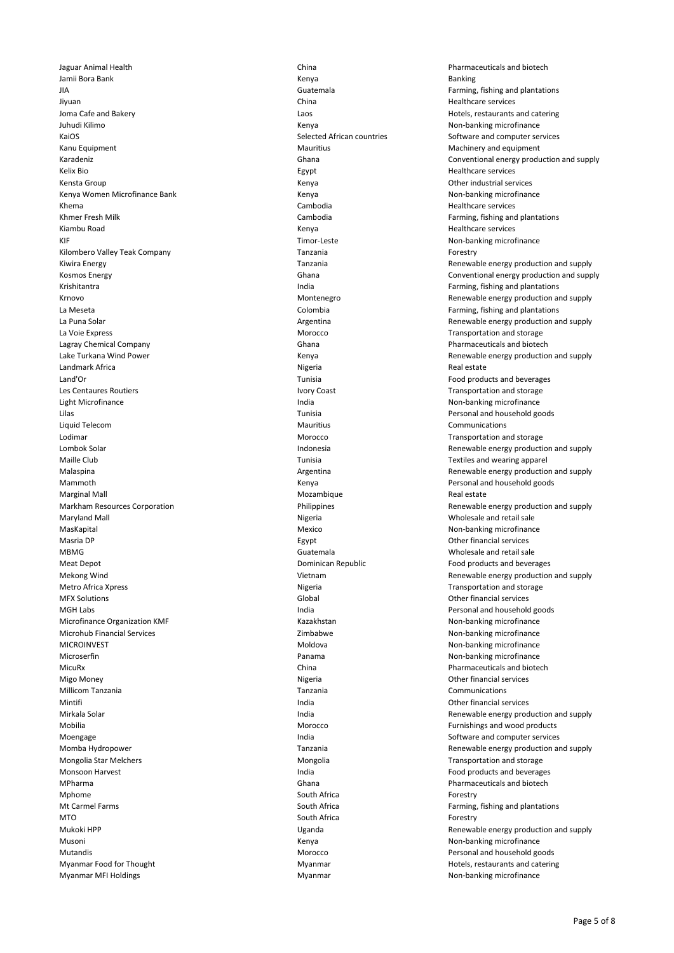Jaguar Animal Health China Pharmaceuticals and biotech Jamii Bora Bank Kenya Banking JIA Guatemala Farming, fishing and plantations Jiyuan China Healthcare services Joma Cafe and Bakery Laos Hotels, restaurants and catering Juhudi Kilimo **Kenya Non-banking microfinance** Kenya Non-banking microfinance KaiOS Selected African countries Software and computer services Kanu Equipment **Machinery and Equipment** Machinery and equipment Machinery and equipment Kelix Bio Egypt Healthcare services Kensta Group Kenya Other industrial services Kenya Women Microfinance Bank Non-banking microfinance Care and Kenya Non-banking microfinance Non-banking microfinance Khema Cambodia Healthcare services Khmer Fresh Milk **Example 20 Terms** Cambodia **Farming, fishing and plantations** Cambodia **Farming**, fishing and plantations Kiambu Road Kenya Healthcare services KIF STERE NON-banking microfinance Non-banking microfinance Kilombero Valley Teak Company Tanzania Tanzania Tanzania Tanzania Tanzania Tanzania Romestry Kiwira Energy **Tanzania** Tanzania Renewable energy production and supply and supply Krishitantra India Farming, fishing and plantations Krnovo **Montenegro** Montenegro **Montenegro** Renewable energy production and supply La Meseta Colombia Farming, fishing and plantations La Puna Solar Argentina Renewable energy production and supply La Voie Express **Morocco** Charles Morocco **Transportation and storage** Morocco **Transportation and storage** Lagray Chemical Company Ghana Pharmaceuticals and biotech Lake Turkana Wind Power Kenya Renewable energy production and supply Landmark Africa **Nigeria Real estate and the Calculus** Real estate and the Nigeria Real estate Real estate Land'Or Tunisia Food products and beverages Les Centaures Routiers **Ivory Coast** Ivory Coast Transportation and storage **IVOR** Transportation and storage Light Microfinance **India** India Non-banking microfinance Lilas Tunisia Personal and household goods Liquid Telecom Mauritius Communications Lodimar **Morocco** Morocco Transportation and storage under the Morocco Morocco Transportation and storage Lombok Solar **Indonesia** Renewable energy production and supply Maille Club **Tunisia** Tunisia Tunisia Textiles and wearing apparel Malaspina **Argentina** Argentina Argentina Renewable energy production and supply Mammoth Mammoth Channel Channel Channel Kenya Resource Channel Personal and household goods Marginal Mall **Morth Communist Communist Communist Communist Communist Communist Communist Communist Communist Communist Communist Communist Communist Communist Communist Communist Communist Communist Communist Communist C** Markham Resources Corporation The Corporation Corporation and supply Philippines Renewable energy production and supply Maryland Mall Nigeria Wholesale and retail sale MasKapital Mexico Non-banking microfinance Mexico Non-banking microfinance Masria DP Egypt Other financial services MBMG Guatemala Guatemala Custom Commission of Manuel Mean Mean Molesale and retail sale<br>
Meat Depot Commission of Commission Commission Commission Commission Commission Commission Commission Commissio<br>
Dominican Republic C Meat Depot Dominican Republic Food products and beverages Mekong Wind **Mekong Wind Construction and supply** Vietnam Vietnam Renewable energy production and supply Metro Africa Xpress **Nigeria** Nigeria **Nigeria** Transportation and storage MFX Solutions Global Other financial services MGH Labs **India** Personal and household goods and household goods and household goods Microfinance Organization KMF **Kazakhstan** Kazakhstan Non-banking microfinance Microhub Financial Services and the Community Communication of the Zimbabwe Non-banking microfinance MICROINVEST **MOLOGY CONSUMING MONOGY CONSUMING MONOGY** MONOGYPTIC MONOGYPTIC MONOGYPTIC MONOGYPTIC MONOGYPTIC MONOGYPTIC Microserfin **Microserfin Panama** Panama Non-banking microfinance MicuRx China Pharmaceuticals and biotech Migo Money **Nigeria Nigeria** Other financial services Millicom Tanzania Tanzania Communications Mintifi **India** Other financial services **India India Communist Communist Communist Communist Communist Communist Communist Communist Communist Communist Communist Communist Communist Communist Communist Communist Comm** Mirkala Solar **India India** India **India** Renewable energy production and supply Mobilia **Morocco** Furnishings and wood products and wood products and wood products and wood products and wood products Moengage **India** India Software and computer services and computer services Momba Hydropower Tanzania Renewable energy production and supply Mongolia Star Melchers Metal Christian Mongolia Christian Mongolia Transportation and storage Monsoon Harvest **India** Food products and beverages **India** Food products and beverages MPharma Ghana Pharmaceuticals and biotech Mphome **South Africa** South Africa **Forestry** Mt Carmel Farms **South Africa** Farming, fishing and plantations **South Africa** Farming, fishing and plantations MTO **South Africa** South Africa **Forestry** Mukoki HPP **Example 20 Terms** Uganda Uganda Renewable energy production and supply Musoni **Musoni** Kenya Kenya **Kenya Kenya Kenya Kenya Kenya Kenya Kenya Kenya Kenya Kenya Kenya Kenya Kenya Kenya Kenya Kenya Kenya Kenya Kenya Kenya Kenya Kenya Kenya Kenya Kenya Kenya Kenya Kenya Kenya Kenya Kenya Kenya K** Mutandis Morocco Personal and household goods Myanmar Food for Thought Thomas Myanmar Myanmar Hotels, restaurants and catering

Karadeniz Ghana Conventional energy production and supply Kosmos Energy **Energy Conventional energy production** and supply Ghana Conventional energy production and supply Myanmar MFI Holdings **Music and Community** Myanmar Myanmar Myanmar Non-banking microfinance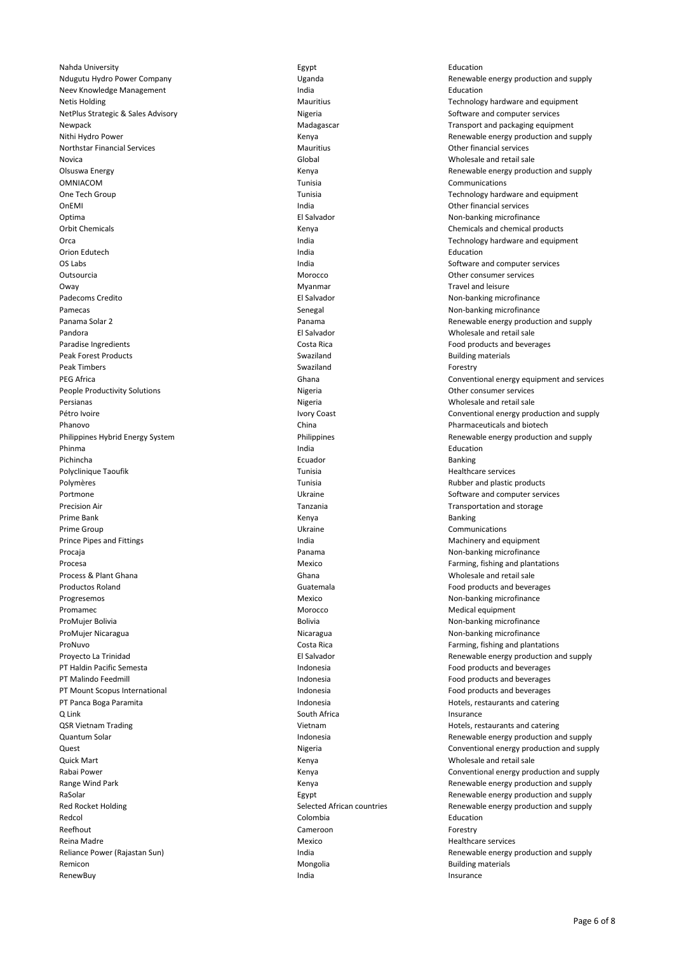Nahda University Egypt Education Neev Knowledge Management The Communication of the India Communication Communication Communication Communication Netis Holding Mauritius Mauritius Technology hardware and equipment NetPlus Strategic & Sales Advisory **Nigeria** Nigeria Software and computer services of Nigeria Software and computer services Newpack **Madagascar** Madagascar Transport and packaging equipment Chemical Chemical Madagascar Transport and packaging equipment Northstar Financial Services **Matter and Services** Mauritius Mauritius **Matter Services** Other financial services Novica Global Wholesale and retail sale OMNIACOM Tunisia Communications One Tech Group Tunisia Technology hardware and equipment OnEMI India Other financial services Optima Christianus Christianus Christianus Christianus Christianus Christianus Christianus Christianus Christianus<br>
Mon-banking microfinance<br>
Christianus Christianus Christianus Christianus Christianus Christianus Christia Orca **India India India Technology hardware and equipment** Orca Orion Edutech **India** Education **Education** India **India** Education **Education Education** OS Labs India Software and computer services Outsourcia and a more consumer services of the Morocco of the Consumer services of the Consumer services of the Morocco of the Consumer services of the Morocco of the Morocco of the Morocco of the Morocco of the Morocco of Oway **Oway Oway Oway Oway Oway Oway Oway Oway Oway OWAY OWAY OWAY OWAY OWAY OWAY OWAY OWAY OWAY OWAY OWAY OWAY OWAY OWAY OWAY OWAY OWAY OWAY OWAY OWAY OWAY OWAY** Padecoms Credito **El Salvador** El Salvador **El Salvador** en el establecemento en el establecemento en el establecemento en el establecemento en el establecemento en el establecemento en el establecemento en el establecemen Pamecas **Senegal Non-banking microfinance** Pamecas Senegal Non-banking microfinance Pandora El Salvador Wholesale and retail sale Paradise Ingredients **Costa Rica Costa Rica Food products and beverages Paradise Ingredients Food products and beverages** Peak Forest Products **Swaziland** Building materials Swaziland Building materials and Building materials Peak Timbers Swaziland Forestry People Productivity Solutions and Migeria Changes of Migeria Changes of the Consumer services of the Consumer services Persianas Nigeria Wholesale and retail sale Phanovo China Pharmaceuticals and biotech Phinma **India India and American Contract Contract** India American Contract Contract Contract Contract Contract Contract Contract Contract Contract Contract Contract Contract Contract Contract Contract Contract Contract Co Pichincha Ecuador Banking Polyclinique Taoufik **Tunisia** Tunisia **Tunisia** Healthcare services Polymères and the contract of the Tunisia Tunisia Rubber and plastic products and plastic products and plastic products Portmone **Example 20** Text of the Ukraine Software and computer services of the Ukraine Software and computer services Precision Air Tanzania Transportation and storage Prime Bank Kenya Banking Prime Group Communications and the Communications of the Communications of the Communications of the Communications of the Communications of the Communications of the Communications of the Communications of the Communicati Prince Pipes and Fittings **India** India Machinery and equipment **India** Machinery and equipment Procaja **Panama Non-banking microfinance** Panama Panama Non-banking microfinance Procesa Mexico **Farming, fishing and plantations**<br>
Process & Plant Ghana **Mexico Chana** Ghana **Farming, Chana** Mexico Mexico Mexico Process & Plant Ghana Process & Plantations Productos Roland Guatemala Food products and beverages Progresemos **Mexico** Non-banking microfinance Promamec **Morocco** Morocco Morocco Medical equipment ProMujer Bolivia **Bolivia** Bolivia Bolivia **Bolivia** Bolivia **Bolivia** Non-banking microfinance ProMujer Nicaragua Nicaragua Non-banking microfinance ProNuvo Costa Rica Farming, fishing and plantations PT Haldin Pacific Semesta Indonesia Food products and beverages PT Malindo Feedmill **Indonesia** Food products and beverages PT Mount Scopus International **Indonesia** Indonesia **Indonesia** Food products and beverages PT Panca Boga Paramita **Indonesia** Indonesia **Indonesia** Hotels, restaurants and catering Q Link South Africa **Insurance Insurance** Insurance Insurance Insurance Insurance QSR Vietnam Trading Trading Communication of the Vietnam Muslim Hotels, restaurants and catering Quick Mart Kenya Wholesale and retail sale Redcol **Redcol** Colombia **Colombia** Colombia **Colombia** Education Reefhout **Cameroon** Cameroon **Cameroon** Cameroon **Forestry** Reina Madre **Mexico** Mexico Mexico **Mexico** Healthcare services Remicon **Mongolia Building materials Constanting Mongolia Building materials Building materials** RenewBuy Insurance in the control of the control of the control of the control of the control of the control of the control of the control of the control of the control of the control of the control of the control of the c

Ndugutu Hydro Power Company Uganda Renewable energy production and supply Nithi Hydro Power **Nithi Hydro Power** Chronicle Energy production and supply Renewable energy production and supply Olsuswa Energy Kenya Renewable energy production and supply Kenya Chemicals and chemical products Panama Solar 2 Panama Renewable energy production and supply PEG Africa Ghana Conventional energy equipment and services Pétro Ivoire **Ivory Coast** Conventional energy production and supply Philippines Hybrid Energy System Philippines Renewable energy production and supply Wholesale and retail sale Proyecto La Trinidad **El Salvador** El Salvador **Renewable energy production and supply** Renewable energy production and supply Quantum Solar **Indonesia Indonesia Indonesia** Renewable energy production and supply Quest Nigeria Conventional energy production and supply Rabai Power **Conventional energy production and supply**<br>Range Wind Park **Conventional energy production and supply**<br>Renewable energy production and supply Kenya **Kenya Renewable energy production and supply** RaSolar **Egypt** Egypt Renewable energy production and supply and supply Red Rocket Holding **Selected African countries** Renewable energy production and supply Reliance Power (Rajastan Sun) **India** India Renewable energy production and supply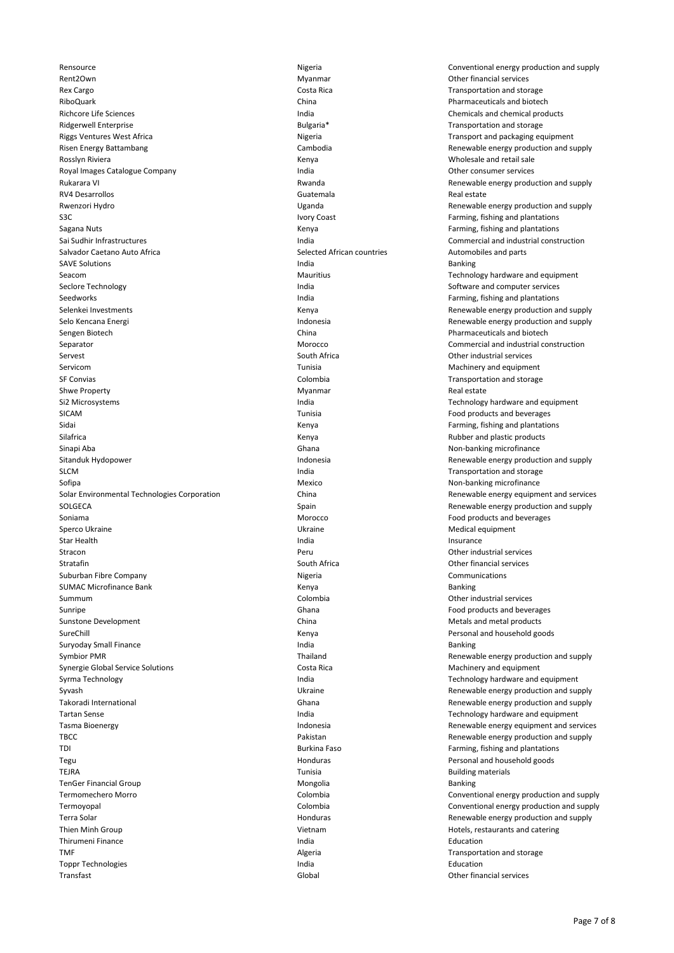Rent2Own **Myanmar** Myanmar Other financial services Rex Cargo Costa Rica Transportation and storage RiboQuark China Pharmaceuticals and biotech Ridgerwell Enterprise **Bulgaria** Bulgaria<sup>\*</sup> Bulgaria<sup>\*</sup> Transportation and storage Riggs Ventures West Africa Nigeria Transport and packaging equipment Risen Energy Battambang Cambodia Renewable energy production and supply Rosslyn Riviera **Kenya Kenya Kenya Kenya Kenya Kenya Kenya** Wholesale and retail sale Royal Images Catalogue Company **India** India **India India** Other consumer services Rukarara VI **Rukarara VI Rukarara VI** Rukarara VI Renewable energy production and supply RV4 Desarrollos Guatemala Real estate Rwenzori Hydro **Exercical Construction and Supply Construction** Uganda Construction and supply Renewable energy production and supply S3C S3C Same Same Communications in the United States of the United States of the States of Tables and plantations in the States of Tables and plantations in the United States of the United States of Tables and Plantations Sagana Nuts **Sagana Nuts Kenya** Kenya **Kenya Kenya Kenya Kenya Kenya Kenya Kenya** Farming, fishing and plantations Sai Sudhir Infrastructures **India** India Commercial and industrial construction Salvador Caetano Auto Africa Selected African countries Automobiles and parts SAVE Solutions **India** Banking **India** Banking **India** Banking **India** Banking **India** Banking **India** Banking **India** Seacom **Mauritius** Mauritius **Technology hardware and equipment** Constants and equipment Seclore Technology **India** India Software and computer services Seedworks **India India India India Farming, fishing and plantations India India India India India India India India India India India India India India India India India India** Selenkei Investments **Kenya Renewable energy production and supply** Renewable energy production and supply Selo Kencana Energi **Indonesia** Indonesia Renewable energy production and supply Sengen Biotech **China** China **China China** Pharmaceuticals and biotech **Pharmaceuticals and biotech** Separator Morocco Commercial and industrial construction Servest South Africa Other industrial services Servicom Servicom Communication and European Colombia Colombia Colombia Colombia Colombia Colombia Transportation and storage of  $\Gamma$ Shwe Property **Myanmar** Myanmar Real estate Si2 Microsystems **India** India Technology hardware and equipment SICAM Tunisia Food products and beverages Sidai Kenya Farming, fishing and plantations Silafrica Kenya Rubber and plastic products Sinapi Aba Ghana Ghana Ghana Non-banking microfinance (Ghana Ghana Non-banking microfinance Sitanduk Hydopower **Indonesia** Indonesia Renewable energy production and supply SLCM **India** India Transportation and storage india Transportation and storage in the SLCM Sofipa **Mexico** Non-banking microfinance **Non-banking microfinance** Non-banking microfinance Solar Environmental Technologies Corporation **China** China China Renewable energy equipment and services SOLGECA Spain Spain Spain Renewable energy production and supply Soniama **Morocco** Food products and beverages **Food products** and beverages Sperco Ukraine Nedical equipment Control of the Ukraine Medical equipment Medical equipment Star Health Insurance and India India India India Insurance Insurance Insurance Insurance Stracon Peru Other industrial services Stratafin South Africa Other financial services Suburban Fibre Company **Nigeria** Communications Communications Communications Communications SUMAC Microfinance Bank **Kenya Banking** Banking Banking Banking Banking Banking Banking Summum Colombia Other industrial services Sunripe Chana Food products and beverages Chana Food products and beverages Chana Food products and beverages Sunstone Development **Sunstane Development** China China China Metals and metal products SureChill **SureChill** Controller Controller Manual Mental Menya Personal and household goods and household goods Suryoday Small Finance **India** Banking Suryoday Small Finance **India** Banking Suryoday Small Finance Symbior PMR Thailand Renewable energy production and supply Synergie Global Service Solutions and equipment Costa Rica Costa Rica Machinery and equipment Syrma Technology **India** India Technology hardware and equipment Syvash Syvash **Example 2020** Ukraine Ukraine Renewable energy production and supply Takoradi International Ghana Renewable energy production and supply Tartan Sense Tartan Sense India India India Network and Executive India Technology hardware and equipment<br>Tasma Bioenergy Tartan Tartan India India India India India Network Sense Renewable energy equipment and serve Tasma Bioenergy Tasma Bioenergy Indonesia Renewable energy equipment and services TBCC **TEC Pakistan** Pakistan **Pakistan Renewable energy production and supply** TDI **Example 20 TE 12 TO Farming**, fishing and plantations and plantations of the Burkina Faso **Farming**, fishing and plantations Tegu Honduras Personal and household goods TEJRA **TEJRA** Building materials and the control of the control of the control of the control of the control of the control of the control of the control of the control of the control of the control of the control of the c TenGer Financial Group and the Control of the Mongolia Control of the Banking Banking Termomechero Morro Colombia Conventional energy production and supply Termoyopal Colombia Conventional energy production and supply Terra Solar **Manufath Construction Construction** Honduras **Renewable energy production and supply Renewable energy production and supply** Thien Minh Group Thien Minh Group Vietnam Hotels, restaurants and catering Thirumeni Finance **India Education** Communication Communication Communication Communication Communication Communication TMF TMF **TRANSPORTED ALGO TRANSPORTED ALGO TRANSPORTED ALGO TRANSPORTED TRANSPORTED AT ALGO TRANSPORTED AT A TRANSPORTED AT A TRANSPORTED AT A TRANSPORTED AT A TRANSPORTED AT A TRANSPORTED AT A TRANSPORTED AT A TRANSPORTED** Toppr Technologies **India** Education **India** India **India** Education **Education** Transfast Global Other financial services

Rensource **Nigeria** Conventional energy production and supply India **Exercise Sciences India** Chemicals and chemical products Transportation and storage